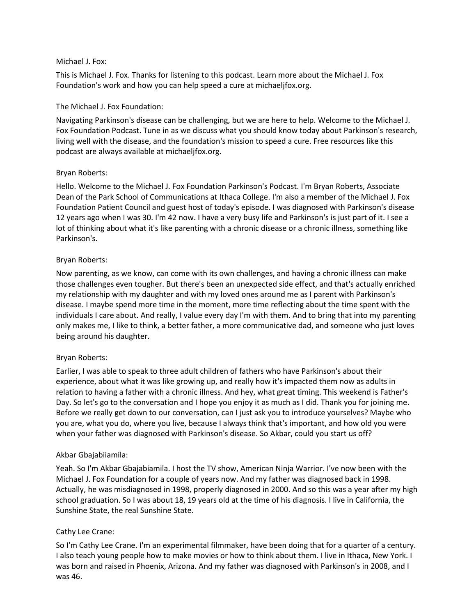### Michael J. Fox:

This is Michael J. Fox. Thanks for listening to this podcast. Learn more about the Michael J. Fox Foundation's work and how you can help speed a cure at michaeljfox.org.

## The Michael J. Fox Foundation:

Navigating Parkinson's disease can be challenging, but we are here to help. Welcome to the Michael J. Fox Foundation Podcast. Tune in as we discuss what you should know today about Parkinson's research, living well with the disease, and the foundation's mission to speed a cure. Free resources like this podcast are always available at michaeljfox.org.

#### Bryan Roberts:

Hello. Welcome to the Michael J. Fox Foundation Parkinson's Podcast. I'm Bryan Roberts, Associate Dean of the Park School of Communications at Ithaca College. I'm also a member of the Michael J. Fox Foundation Patient Council and guest host of today's episode. I was diagnosed with Parkinson's disease 12 years ago when I was 30. I'm 42 now. I have a very busy life and Parkinson's is just part of it. I see a lot of thinking about what it's like parenting with a chronic disease or a chronic illness, something like Parkinson's.

#### Bryan Roberts:

Now parenting, as we know, can come with its own challenges, and having a chronic illness can make those challenges even tougher. But there's been an unexpected side effect, and that's actually enriched my relationship with my daughter and with my loved ones around me as I parent with Parkinson's disease. I maybe spend more time in the moment, more time reflecting about the time spent with the individuals I care about. And really, I value every day I'm with them. And to bring that into my parenting only makes me, I like to think, a better father, a more communicative dad, and someone who just loves being around his daughter.

## Bryan Roberts:

Earlier, I was able to speak to three adult children of fathers who have Parkinson's about their experience, about what it was like growing up, and really how it's impacted them now as adults in relation to having a father with a chronic illness. And hey, what great timing. This weekend is Father's Day. So let's go to the conversation and I hope you enjoy it as much as I did. Thank you for joining me. Before we really get down to our conversation, can I just ask you to introduce yourselves? Maybe who you are, what you do, where you live, because I always think that's important, and how old you were when your father was diagnosed with Parkinson's disease. So Akbar, could you start us off?

#### Akbar Gbajabiiamila:

Yeah. So I'm Akbar Gbajabiamila. I host the TV show, American Ninja Warrior. I've now been with the Michael J. Fox Foundation for a couple of years now. And my father was diagnosed back in 1998. Actually, he was misdiagnosed in 1998, properly diagnosed in 2000. And so this was a year after my high school graduation. So I was about 18, 19 years old at the time of his diagnosis. I live in California, the Sunshine State, the real Sunshine State.

## Cathy Lee Crane:

So I'm Cathy Lee Crane. I'm an experimental filmmaker, have been doing that for a quarter of a century. I also teach young people how to make movies or how to think about them. I live in Ithaca, New York. I was born and raised in Phoenix, Arizona. And my father was diagnosed with Parkinson's in 2008, and I was 46.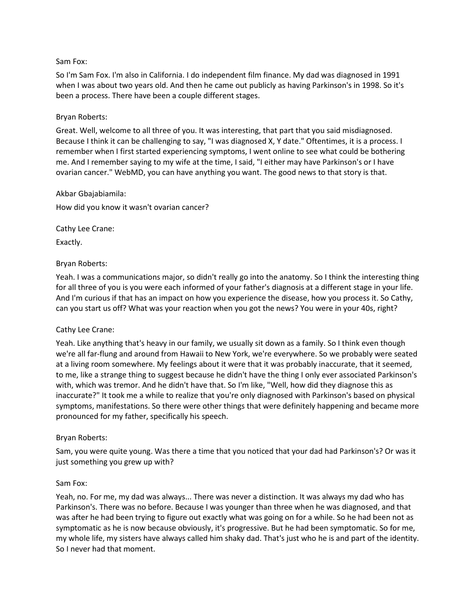#### Sam Fox:

So I'm Sam Fox. I'm also in California. I do independent film finance. My dad was diagnosed in 1991 when I was about two years old. And then he came out publicly as having Parkinson's in 1998. So it's been a process. There have been a couple different stages.

### Bryan Roberts:

Great. Well, welcome to all three of you. It was interesting, that part that you said misdiagnosed. Because I think it can be challenging to say, "I was diagnosed X, Y date." Oftentimes, it is a process. I remember when I first started experiencing symptoms, I went online to see what could be bothering me. And I remember saying to my wife at the time, I said, "I either may have Parkinson's or I have ovarian cancer." WebMD, you can have anything you want. The good news to that story is that.

#### Akbar Gbajabiamila:

How did you know it wasn't ovarian cancer?

Cathy Lee Crane:

Exactly.

#### Bryan Roberts:

Yeah. I was a communications major, so didn't really go into the anatomy. So I think the interesting thing for all three of you is you were each informed of your father's diagnosis at a different stage in your life. And I'm curious if that has an impact on how you experience the disease, how you process it. So Cathy, can you start us off? What was your reaction when you got the news? You were in your 40s, right?

## Cathy Lee Crane:

Yeah. Like anything that's heavy in our family, we usually sit down as a family. So I think even though we're all far-flung and around from Hawaii to New York, we're everywhere. So we probably were seated at a living room somewhere. My feelings about it were that it was probably inaccurate, that it seemed, to me, like a strange thing to suggest because he didn't have the thing I only ever associated Parkinson's with, which was tremor. And he didn't have that. So I'm like, "Well, how did they diagnose this as inaccurate?" It took me a while to realize that you're only diagnosed with Parkinson's based on physical symptoms, manifestations. So there were other things that were definitely happening and became more pronounced for my father, specifically his speech.

#### Bryan Roberts:

Sam, you were quite young. Was there a time that you noticed that your dad had Parkinson's? Or was it just something you grew up with?

#### Sam Fox:

Yeah, no. For me, my dad was always... There was never a distinction. It was always my dad who has Parkinson's. There was no before. Because I was younger than three when he was diagnosed, and that was after he had been trying to figure out exactly what was going on for a while. So he had been not as symptomatic as he is now because obviously, it's progressive. But he had been symptomatic. So for me, my whole life, my sisters have always called him shaky dad. That's just who he is and part of the identity. So I never had that moment.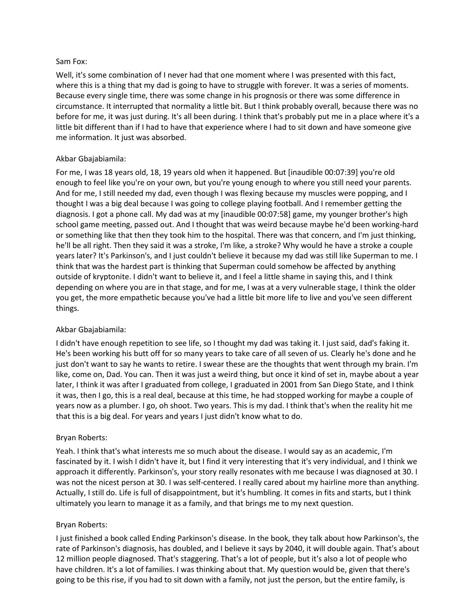### Sam Fox:

Well, it's some combination of I never had that one moment where I was presented with this fact, where this is a thing that my dad is going to have to struggle with forever. It was a series of moments. Because every single time, there was some change in his prognosis or there was some difference in circumstance. It interrupted that normality a little bit. But I think probably overall, because there was no before for me, it was just during. It's all been during. I think that's probably put me in a place where it's a little bit different than if I had to have that experience where I had to sit down and have someone give me information. It just was absorbed.

## Akbar Gbajabiamila:

For me, I was 18 years old, 18, 19 years old when it happened. But [inaudible 00:07:39] you're old enough to feel like you're on your own, but you're young enough to where you still need your parents. And for me, I still needed my dad, even though I was flexing because my muscles were popping, and I thought I was a big deal because I was going to college playing football. And I remember getting the diagnosis. I got a phone call. My dad was at my [inaudible 00:07:58] game, my younger brother's high school game meeting, passed out. And I thought that was weird because maybe he'd been working-hard or something like that then they took him to the hospital. There was that concern, and I'm just thinking, he'll be all right. Then they said it was a stroke, I'm like, a stroke? Why would he have a stroke a couple years later? It's Parkinson's, and I just couldn't believe it because my dad was still like Superman to me. I think that was the hardest part is thinking that Superman could somehow be affected by anything outside of kryptonite. I didn't want to believe it, and I feel a little shame in saying this, and I think depending on where you are in that stage, and for me, I was at a very vulnerable stage, I think the older you get, the more empathetic because you've had a little bit more life to live and you've seen different things.

# Akbar Gbajabiamila:

I didn't have enough repetition to see life, so I thought my dad was taking it. I just said, dad's faking it. He's been working his butt off for so many years to take care of all seven of us. Clearly he's done and he just don't want to say he wants to retire. I swear these are the thoughts that went through my brain. I'm like, come on, Dad. You can. Then it was just a weird thing, but once it kind of set in, maybe about a year later, I think it was after I graduated from college, I graduated in 2001 from San Diego State, and I think it was, then I go, this is a real deal, because at this time, he had stopped working for maybe a couple of years now as a plumber. I go, oh shoot. Two years. This is my dad. I think that's when the reality hit me that this is a big deal. For years and years I just didn't know what to do.

## Bryan Roberts:

Yeah. I think that's what interests me so much about the disease. I would say as an academic, I'm fascinated by it. I wish I didn't have it, but I find it very interesting that it's very individual, and I think we approach it differently. Parkinson's, your story really resonates with me because I was diagnosed at 30. I was not the nicest person at 30. I was self-centered. I really cared about my hairline more than anything. Actually, I still do. Life is full of disappointment, but it's humbling. It comes in fits and starts, but I think ultimately you learn to manage it as a family, and that brings me to my next question.

## Bryan Roberts:

I just finished a book called Ending Parkinson's disease. In the book, they talk about how Parkinson's, the rate of Parkinson's diagnosis, has doubled, and I believe it says by 2040, it will double again. That's about 12 million people diagnosed. That's staggering. That's a lot of people, but it's also a lot of people who have children. It's a lot of families. I was thinking about that. My question would be, given that there's going to be this rise, if you had to sit down with a family, not just the person, but the entire family, is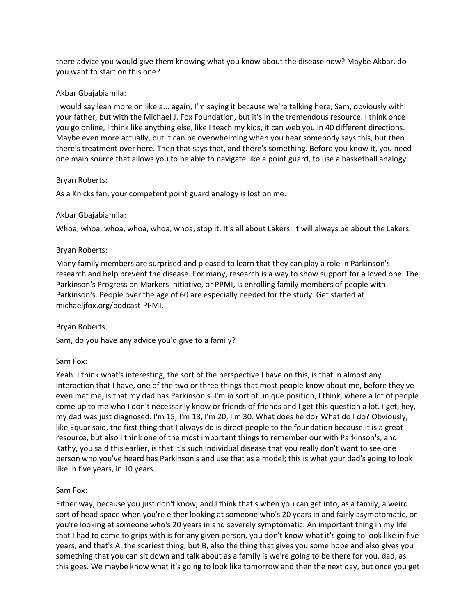there advice you would give them knowing what you know about the disease now? Maybe Akbar, do you want to start on this one?

### Akbar Gbajabiamila:

I would say lean more on like a... again, I'm saying it because we're talking here, Sam, obviously with your father, but with the Michael J. Fox Foundation, but it's in the tremendous resource. I think once you go online, I think like anything else, like I teach my kids, it can web you in 40 different directions. Maybe even more actually, but it can be overwhelming when you hear somebody says this, but then there's treatment over here. Then that says that, and there's something. Before you know it, you need one main source that allows you to be able to navigate like a point guard, to use a basketball analogy.

#### Bryan Roberts:

As a Knicks fan, your competent point guard analogy is lost on me.

#### Akbar Gbajabiamila:

Whoa, whoa, whoa, whoa, whoa, whoa, stop it. It's all about Lakers. It will always be about the Lakers.

#### Bryan Roberts:

Many family members are surprised and pleased to learn that they can play a role in Parkinson's research and help prevent the disease. For many, research is a way to show support for a loved one. The Parkinson's Progression Markers Initiative, or PPMI, is enrolling family members of people with Parkinson's. People over the age of 60 are especially needed for the study. Get started at michaeljfox.org/podcast-PPMI.

## Bryan Roberts:

Sam, do you have any advice you'd give to a family?

#### Sam Fox:

Yeah. I think what's interesting, the sort of the perspective I have on this, is that in almost any interaction that I have, one of the two or three things that most people know about me, before they've even met me, is that my dad has Parkinson's. I'm in sort of unique position, I think, where a lot of people come up to me who I don't necessarily know or friends of friends and I get this question a lot. I get, hey, my dad was just diagnosed. I'm 15, I'm 18, I'm 20, I'm 30. What does he do? What do I do? Obviously, like Equar said, the first thing that I always do is direct people to the foundation because it is a great resource, but also I think one of the most important things to remember our with Parkinson's, and Kathy, you said this earlier, is that it's such individual disease that you really don't want to see one person who you've heard has Parkinson's and use that as a model; this is what your dad's going to look like in five years, in 10 years.

## Sam Fox:

Either way, because you just don't know, and I think that's when you can get into, as a family, a weird sort of head space when you're either looking at someone who's 20 years in and fairly asymptomatic, or you're looking at someone who's 20 years in and severely symptomatic. An important thing in my life that I had to come to grips with is for any given person, you don't know what it's going to look like in five years, and that's A, the scariest thing, but B, also the thing that gives you some hope and also gives you something that you can sit down and talk about as a family is we're going to be there for you, dad, as this goes. We maybe know what it's going to look like tomorrow and then the next day, but once you get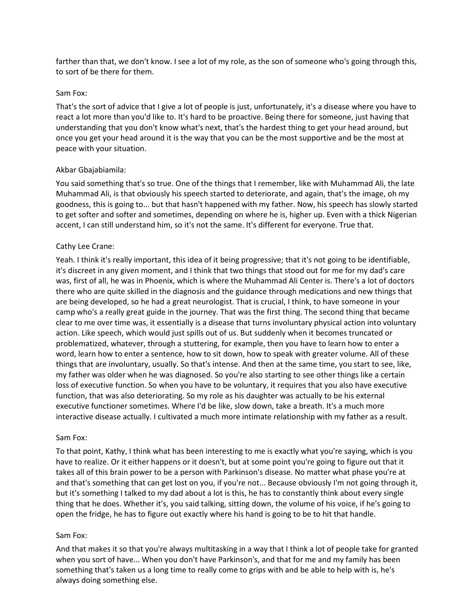farther than that, we don't know. I see a lot of my role, as the son of someone who's going through this, to sort of be there for them.

#### Sam Fox:

That's the sort of advice that I give a lot of people is just, unfortunately, it's a disease where you have to react a lot more than you'd like to. It's hard to be proactive. Being there for someone, just having that understanding that you don't know what's next, that's the hardest thing to get your head around, but once you get your head around it is the way that you can be the most supportive and be the most at peace with your situation.

## Akbar Gbajabiamila:

You said something that's so true. One of the things that I remember, like with Muhammad Ali, the late Muhammad Ali, is that obviously his speech started to deteriorate, and again, that's the image, oh my goodness, this is going to... but that hasn't happened with my father. Now, his speech has slowly started to get softer and softer and sometimes, depending on where he is, higher up. Even with a thick Nigerian accent, I can still understand him, so it's not the same. It's different for everyone. True that.

## Cathy Lee Crane:

Yeah. I think it's really important, this idea of it being progressive; that it's not going to be identifiable, it's discreet in any given moment, and I think that two things that stood out for me for my dad's care was, first of all, he was in Phoenix, which is where the Muhammad Ali Center is. There's a lot of doctors there who are quite skilled in the diagnosis and the guidance through medications and new things that are being developed, so he had a great neurologist. That is crucial, I think, to have someone in your camp who's a really great guide in the journey. That was the first thing. The second thing that became clear to me over time was, it essentially is a disease that turns involuntary physical action into voluntary action. Like speech, which would just spills out of us. But suddenly when it becomes truncated or problematized, whatever, through a stuttering, for example, then you have to learn how to enter a word, learn how to enter a sentence, how to sit down, how to speak with greater volume. All of these things that are involuntary, usually. So that's intense. And then at the same time, you start to see, like, my father was older when he was diagnosed. So you're also starting to see other things like a certain loss of executive function. So when you have to be voluntary, it requires that you also have executive function, that was also deteriorating. So my role as his daughter was actually to be his external executive functioner sometimes. Where I'd be like, slow down, take a breath. It's a much more interactive disease actually. I cultivated a much more intimate relationship with my father as a result.

#### Sam Fox:

To that point, Kathy, I think what has been interesting to me is exactly what you're saying, which is you have to realize. Or it either happens or it doesn't, but at some point you're going to figure out that it takes all of this brain power to be a person with Parkinson's disease. No matter what phase you're at and that's something that can get lost on you, if you're not... Because obviously I'm not going through it, but it's something I talked to my dad about a lot is this, he has to constantly think about every single thing that he does. Whether it's, you said talking, sitting down, the volume of his voice, if he's going to open the fridge, he has to figure out exactly where his hand is going to be to hit that handle.

#### Sam Fox:

And that makes it so that you're always multitasking in a way that I think a lot of people take for granted when you sort of have... When you don't have Parkinson's, and that for me and my family has been something that's taken us a long time to really come to grips with and be able to help with is, he's always doing something else.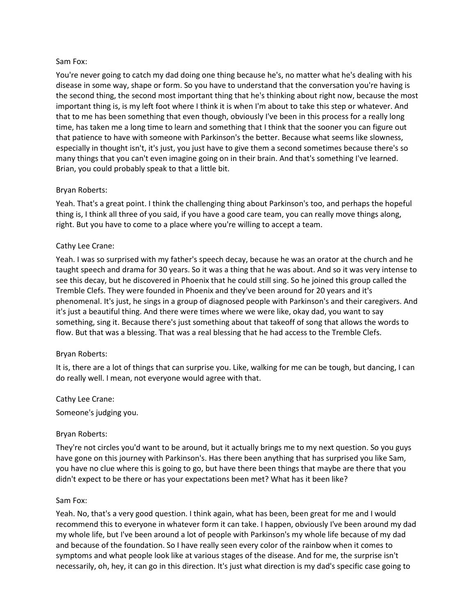#### Sam Fox:

You're never going to catch my dad doing one thing because he's, no matter what he's dealing with his disease in some way, shape or form. So you have to understand that the conversation you're having is the second thing, the second most important thing that he's thinking about right now, because the most important thing is, is my left foot where I think it is when I'm about to take this step or whatever. And that to me has been something that even though, obviously I've been in this process for a really long time, has taken me a long time to learn and something that I think that the sooner you can figure out that patience to have with someone with Parkinson's the better. Because what seems like slowness, especially in thought isn't, it's just, you just have to give them a second sometimes because there's so many things that you can't even imagine going on in their brain. And that's something I've learned. Brian, you could probably speak to that a little bit.

## Bryan Roberts:

Yeah. That's a great point. I think the challenging thing about Parkinson's too, and perhaps the hopeful thing is, I think all three of you said, if you have a good care team, you can really move things along, right. But you have to come to a place where you're willing to accept a team.

#### Cathy Lee Crane:

Yeah. I was so surprised with my father's speech decay, because he was an orator at the church and he taught speech and drama for 30 years. So it was a thing that he was about. And so it was very intense to see this decay, but he discovered in Phoenix that he could still sing. So he joined this group called the Tremble Clefs. They were founded in Phoenix and they've been around for 20 years and it's phenomenal. It's just, he sings in a group of diagnosed people with Parkinson's and their caregivers. And it's just a beautiful thing. And there were times where we were like, okay dad, you want to say something, sing it. Because there's just something about that takeoff of song that allows the words to flow. But that was a blessing. That was a real blessing that he had access to the Tremble Clefs.

#### Bryan Roberts:

It is, there are a lot of things that can surprise you. Like, walking for me can be tough, but dancing, I can do really well. I mean, not everyone would agree with that.

## Cathy Lee Crane:

Someone's judging you.

#### Bryan Roberts:

They're not circles you'd want to be around, but it actually brings me to my next question. So you guys have gone on this journey with Parkinson's. Has there been anything that has surprised you like Sam, you have no clue where this is going to go, but have there been things that maybe are there that you didn't expect to be there or has your expectations been met? What has it been like?

#### Sam Fox:

Yeah. No, that's a very good question. I think again, what has been, been great for me and I would recommend this to everyone in whatever form it can take. I happen, obviously I've been around my dad my whole life, but I've been around a lot of people with Parkinson's my whole life because of my dad and because of the foundation. So I have really seen every color of the rainbow when it comes to symptoms and what people look like at various stages of the disease. And for me, the surprise isn't necessarily, oh, hey, it can go in this direction. It's just what direction is my dad's specific case going to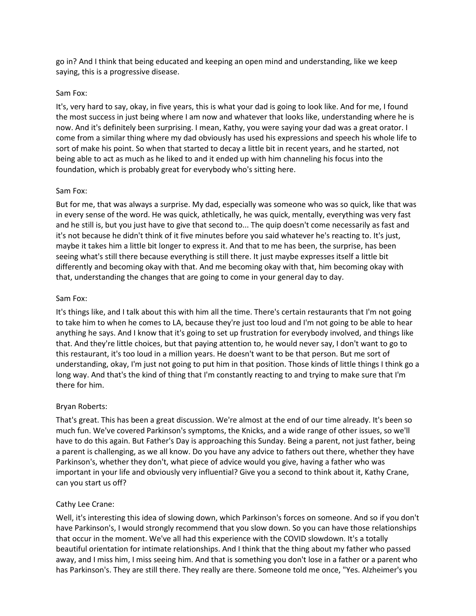go in? And I think that being educated and keeping an open mind and understanding, like we keep saying, this is a progressive disease.

### Sam Fox:

It's, very hard to say, okay, in five years, this is what your dad is going to look like. And for me, I found the most success in just being where I am now and whatever that looks like, understanding where he is now. And it's definitely been surprising. I mean, Kathy, you were saying your dad was a great orator. I come from a similar thing where my dad obviously has used his expressions and speech his whole life to sort of make his point. So when that started to decay a little bit in recent years, and he started, not being able to act as much as he liked to and it ended up with him channeling his focus into the foundation, which is probably great for everybody who's sitting here.

#### Sam Fox:

But for me, that was always a surprise. My dad, especially was someone who was so quick, like that was in every sense of the word. He was quick, athletically, he was quick, mentally, everything was very fast and he still is, but you just have to give that second to... The quip doesn't come necessarily as fast and it's not because he didn't think of it five minutes before you said whatever he's reacting to. It's just, maybe it takes him a little bit longer to express it. And that to me has been, the surprise, has been seeing what's still there because everything is still there. It just maybe expresses itself a little bit differently and becoming okay with that. And me becoming okay with that, him becoming okay with that, understanding the changes that are going to come in your general day to day.

#### Sam Fox:

It's things like, and I talk about this with him all the time. There's certain restaurants that I'm not going to take him to when he comes to LA, because they're just too loud and I'm not going to be able to hear anything he says. And I know that it's going to set up frustration for everybody involved, and things like that. And they're little choices, but that paying attention to, he would never say, I don't want to go to this restaurant, it's too loud in a million years. He doesn't want to be that person. But me sort of understanding, okay, I'm just not going to put him in that position. Those kinds of little things I think go a long way. And that's the kind of thing that I'm constantly reacting to and trying to make sure that I'm there for him.

## Bryan Roberts:

That's great. This has been a great discussion. We're almost at the end of our time already. It's been so much fun. We've covered Parkinson's symptoms, the Knicks, and a wide range of other issues, so we'll have to do this again. But Father's Day is approaching this Sunday. Being a parent, not just father, being a parent is challenging, as we all know. Do you have any advice to fathers out there, whether they have Parkinson's, whether they don't, what piece of advice would you give, having a father who was important in your life and obviously very influential? Give you a second to think about it, Kathy Crane, can you start us off?

## Cathy Lee Crane:

Well, it's interesting this idea of slowing down, which Parkinson's forces on someone. And so if you don't have Parkinson's, I would strongly recommend that you slow down. So you can have those relationships that occur in the moment. We've all had this experience with the COVID slowdown. It's a totally beautiful orientation for intimate relationships. And I think that the thing about my father who passed away, and I miss him, I miss seeing him. And that is something you don't lose in a father or a parent who has Parkinson's. They are still there. They really are there. Someone told me once, "Yes. Alzheimer's you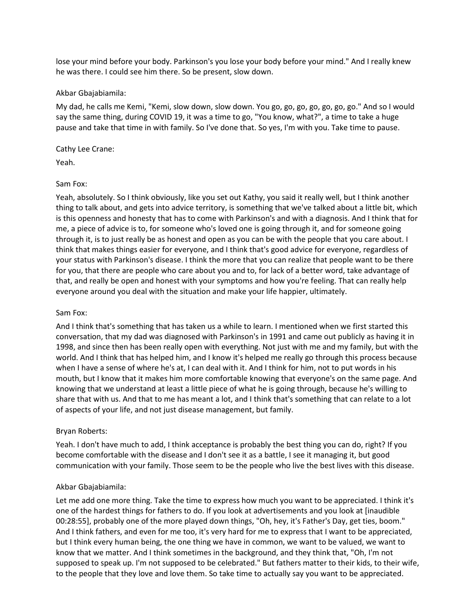lose your mind before your body. Parkinson's you lose your body before your mind." And I really knew he was there. I could see him there. So be present, slow down.

#### Akbar Gbajabiamila:

My dad, he calls me Kemi, "Kemi, slow down, slow down. You go, go, go, go, go, go, go." And so I would say the same thing, during COVID 19, it was a time to go, "You know, what?", a time to take a huge pause and take that time in with family. So I've done that. So yes, I'm with you. Take time to pause.

### Cathy Lee Crane:

Yeah.

## Sam Fox:

Yeah, absolutely. So I think obviously, like you set out Kathy, you said it really well, but I think another thing to talk about, and gets into advice territory, is something that we've talked about a little bit, which is this openness and honesty that has to come with Parkinson's and with a diagnosis. And I think that for me, a piece of advice is to, for someone who's loved one is going through it, and for someone going through it, is to just really be as honest and open as you can be with the people that you care about. I think that makes things easier for everyone, and I think that's good advice for everyone, regardless of your status with Parkinson's disease. I think the more that you can realize that people want to be there for you, that there are people who care about you and to, for lack of a better word, take advantage of that, and really be open and honest with your symptoms and how you're feeling. That can really help everyone around you deal with the situation and make your life happier, ultimately.

## Sam Fox:

And I think that's something that has taken us a while to learn. I mentioned when we first started this conversation, that my dad was diagnosed with Parkinson's in 1991 and came out publicly as having it in 1998, and since then has been really open with everything. Not just with me and my family, but with the world. And I think that has helped him, and I know it's helped me really go through this process because when I have a sense of where he's at, I can deal with it. And I think for him, not to put words in his mouth, but I know that it makes him more comfortable knowing that everyone's on the same page. And knowing that we understand at least a little piece of what he is going through, because he's willing to share that with us. And that to me has meant a lot, and I think that's something that can relate to a lot of aspects of your life, and not just disease management, but family.

## Bryan Roberts:

Yeah. I don't have much to add, I think acceptance is probably the best thing you can do, right? If you become comfortable with the disease and I don't see it as a battle, I see it managing it, but good communication with your family. Those seem to be the people who live the best lives with this disease.

## Akbar Gbajabiamila:

Let me add one more thing. Take the time to express how much you want to be appreciated. I think it's one of the hardest things for fathers to do. If you look at advertisements and you look at [inaudible 00:28:55], probably one of the more played down things, "Oh, hey, it's Father's Day, get ties, boom." And I think fathers, and even for me too, it's very hard for me to express that I want to be appreciated, but I think every human being, the one thing we have in common, we want to be valued, we want to know that we matter. And I think sometimes in the background, and they think that, "Oh, I'm not supposed to speak up. I'm not supposed to be celebrated." But fathers matter to their kids, to their wife, to the people that they love and love them. So take time to actually say you want to be appreciated.